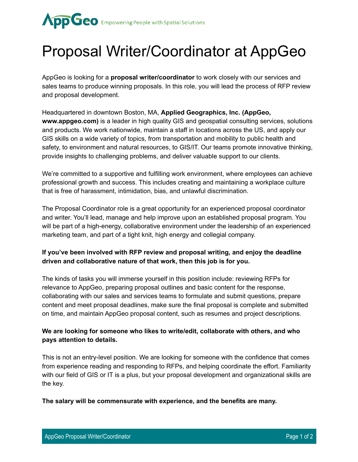

## Proposal Writer/Coordinator at AppGeo

AppGeo is looking for a **proposal writer/coordinator** to work closely with our services and sales teams to produce winning proposals. In this role, you will lead the process of RFP review and proposal development.

Headquartered in downtown Boston, MA, **Applied Geographics, Inc. (AppGeo, www.appgeo.com)** is a leader in high quality GIS and geospatial consulting services, solutions and products. We work nationwide, maintain a staff in locations across the US, and apply our GIS skills on a wide variety of topics, from transportation and mobility to public health and safety, to environment and natural resources, to GIS/IT. Our teams promote innovative thinking, provide insights to challenging problems, and deliver valuable support to our clients.

We're committed to a supportive and fulfilling work environment, where employees can achieve professional growth and success. This includes creating and maintaining a workplace culture that is free of harassment, intimidation, bias, and unlawful discrimination.

The Proposal Coordinator role is a great opportunity for an experienced proposal coordinator and writer. You'll lead, manage and help improve upon an established proposal program. You will be part of a high-energy, collaborative environment under the leadership of an experienced marketing team, and part of a tight knit, high energy and collegial company.

## **If you've been involved with RFP review and proposal writing, and enjoy the deadline driven and collaborative nature of that work, then this job is for you.**

The kinds of tasks you will immerse yourself in this position include: reviewing RFPs for relevance to AppGeo, preparing proposal outlines and basic content for the response, collaborating with our sales and services teams to formulate and submit questions, prepare content and meet proposal deadlines, make sure the final proposal is complete and submitted on time, and maintain AppGeo proposal content, such as resumes and project descriptions.

## **We are looking for someone who likes to write/edit, collaborate with others, and who pays attention to details.**

This is not an entry-level position. We are looking for someone with the confidence that comes from experience reading and responding to RFPs, and helping coordinate the effort. Familiarity with our field of GIS or IT is a plus, but your proposal development and organizational skills are the key.

**The salary will be commensurate with experience, and the benefits are many.**